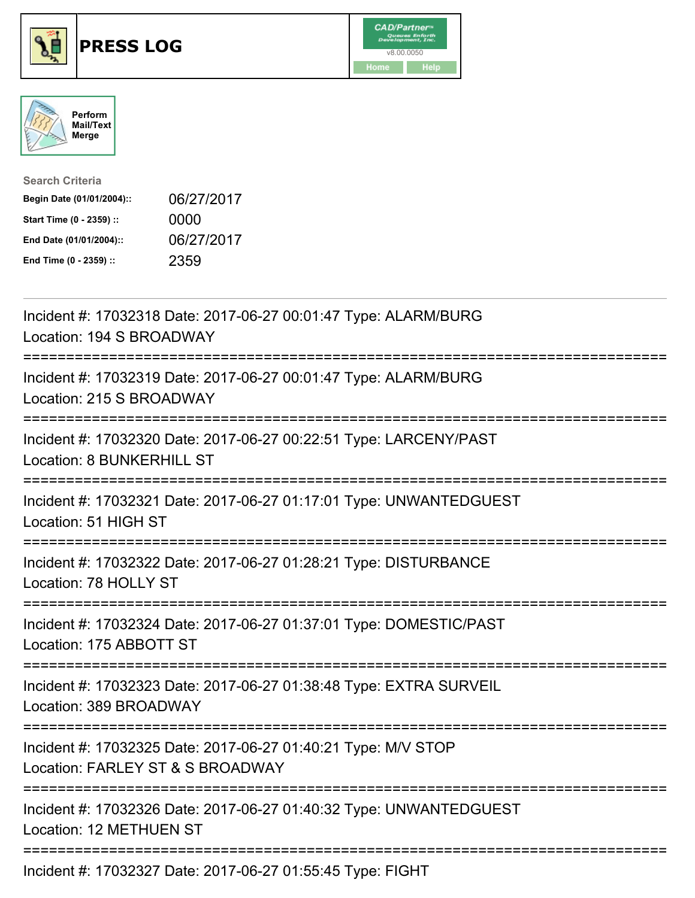





| <b>Search Criteria</b>    |            |
|---------------------------|------------|
| Begin Date (01/01/2004):: | 06/27/2017 |
| Start Time (0 - 2359) ::  | 0000       |
| End Date (01/01/2004)::   | 06/27/2017 |
| End Time (0 - 2359) ::    | 2359       |

| Incident #: 17032318 Date: 2017-06-27 00:01:47 Type: ALARM/BURG<br>Location: 194 S BROADWAY                                  |
|------------------------------------------------------------------------------------------------------------------------------|
| Incident #: 17032319 Date: 2017-06-27 00:01:47 Type: ALARM/BURG<br>Location: 215 S BROADWAY<br>:==============               |
| Incident #: 17032320 Date: 2017-06-27 00:22:51 Type: LARCENY/PAST<br><b>Location: 8 BUNKERHILL ST</b>                        |
| Incident #: 17032321 Date: 2017-06-27 01:17:01 Type: UNWANTEDGUEST<br>Location: 51 HIGH ST                                   |
| Incident #: 17032322 Date: 2017-06-27 01:28:21 Type: DISTURBANCE<br>Location: 78 HOLLY ST                                    |
| Incident #: 17032324 Date: 2017-06-27 01:37:01 Type: DOMESTIC/PAST<br>Location: 175 ABBOTT ST<br>.-------------------        |
| Incident #: 17032323 Date: 2017-06-27 01:38:48 Type: EXTRA SURVEIL<br>Location: 389 BROADWAY                                 |
| Incident #: 17032325 Date: 2017-06-27 01:40:21 Type: M/V STOP<br>Location: FARLEY ST & S BROADWAY<br>----------------------- |
| Incident #: 17032326 Date: 2017-06-27 01:40:32 Type: UNWANTEDGUEST<br><b>Location: 12 METHUEN ST</b>                         |
| Incident #: 17032327 Date: 2017-06-27 01:55:45 Type: FIGHT                                                                   |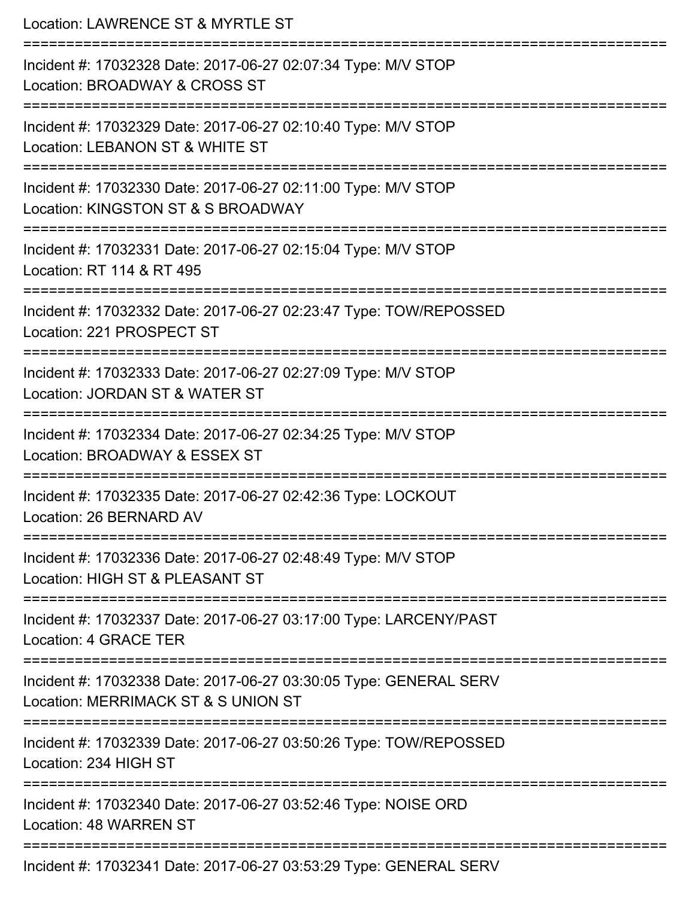| Location: LAWRENCE ST & MYRTLE ST                                                                                              |
|--------------------------------------------------------------------------------------------------------------------------------|
| Incident #: 17032328 Date: 2017-06-27 02:07:34 Type: M/V STOP<br>Location: BROADWAY & CROSS ST                                 |
| Incident #: 17032329 Date: 2017-06-27 02:10:40 Type: M/V STOP<br>Location: LEBANON ST & WHITE ST                               |
| Incident #: 17032330 Date: 2017-06-27 02:11:00 Type: M/V STOP<br>Location: KINGSTON ST & S BROADWAY<br>:====================== |
| Incident #: 17032331 Date: 2017-06-27 02:15:04 Type: M/V STOP<br>Location: RT 114 & RT 495                                     |
| Incident #: 17032332 Date: 2017-06-27 02:23:47 Type: TOW/REPOSSED<br>Location: 221 PROSPECT ST                                 |
| Incident #: 17032333 Date: 2017-06-27 02:27:09 Type: M/V STOP<br>Location: JORDAN ST & WATER ST                                |
| Incident #: 17032334 Date: 2017-06-27 02:34:25 Type: M/V STOP<br>Location: BROADWAY & ESSEX ST                                 |
| Incident #: 17032335 Date: 2017-06-27 02:42:36 Type: LOCKOUT<br>Location: 26 BERNARD AV                                        |
| Incident #: 17032336 Date: 2017-06-27 02:48:49 Type: M/V STOP<br>Location: HIGH ST & PLEASANT ST                               |
| Incident #: 17032337 Date: 2017-06-27 03:17:00 Type: LARCENY/PAST<br>Location: 4 GRACE TER                                     |
| Incident #: 17032338 Date: 2017-06-27 03:30:05 Type: GENERAL SERV<br>Location: MERRIMACK ST & S UNION ST                       |
| Incident #: 17032339 Date: 2017-06-27 03:50:26 Type: TOW/REPOSSED<br>Location: 234 HIGH ST                                     |
| Incident #: 17032340 Date: 2017-06-27 03:52:46 Type: NOISE ORD<br>Location: 48 WARREN ST                                       |
| Incident #: 17032341 Date: 2017-06-27 03:53:29 Type: GENERAL SERV                                                              |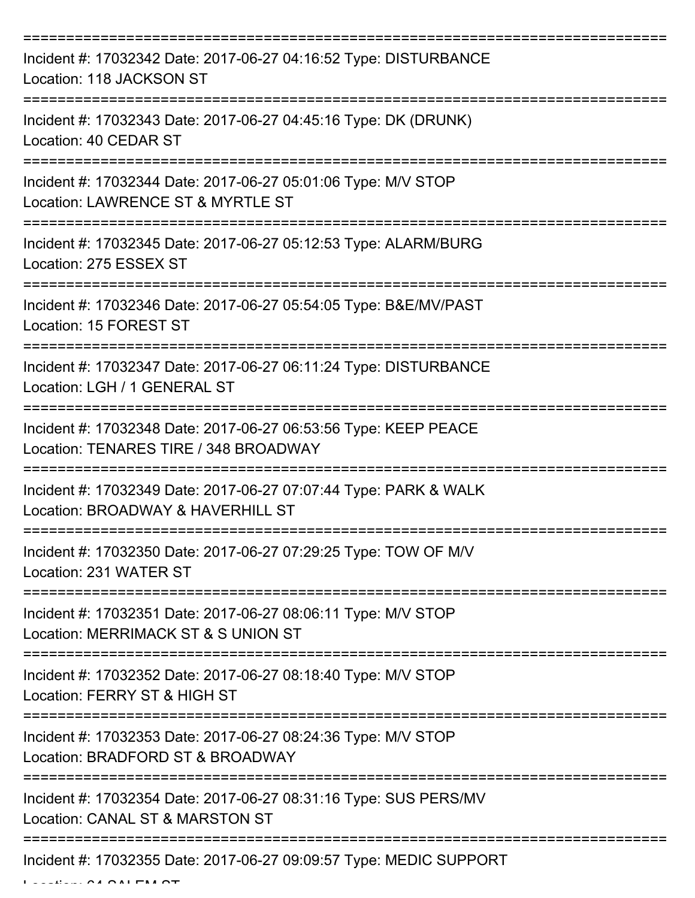| Incident #: 17032342 Date: 2017-06-27 04:16:52 Type: DISTURBANCE<br>Location: 118 JACKSON ST             |
|----------------------------------------------------------------------------------------------------------|
| Incident #: 17032343 Date: 2017-06-27 04:45:16 Type: DK (DRUNK)<br>Location: 40 CEDAR ST                 |
| Incident #: 17032344 Date: 2017-06-27 05:01:06 Type: M/V STOP<br>Location: LAWRENCE ST & MYRTLE ST       |
| Incident #: 17032345 Date: 2017-06-27 05:12:53 Type: ALARM/BURG<br>Location: 275 ESSEX ST                |
| Incident #: 17032346 Date: 2017-06-27 05:54:05 Type: B&E/MV/PAST<br>Location: 15 FOREST ST               |
| Incident #: 17032347 Date: 2017-06-27 06:11:24 Type: DISTURBANCE<br>Location: LGH / 1 GENERAL ST         |
| Incident #: 17032348 Date: 2017-06-27 06:53:56 Type: KEEP PEACE<br>Location: TENARES TIRE / 348 BROADWAY |
| Incident #: 17032349 Date: 2017-06-27 07:07:44 Type: PARK & WALK<br>Location: BROADWAY & HAVERHILL ST    |
| Incident #: 17032350 Date: 2017-06-27 07:29:25 Type: TOW OF M/V<br>Location: 231 WATER ST                |
| Incident #: 17032351 Date: 2017-06-27 08:06:11 Type: M/V STOP<br>Location: MERRIMACK ST & S UNION ST     |
| Incident #: 17032352 Date: 2017-06-27 08:18:40 Type: M/V STOP<br>Location: FERRY ST & HIGH ST            |
| Incident #: 17032353 Date: 2017-06-27 08:24:36 Type: M/V STOP<br>Location: BRADFORD ST & BROADWAY        |
| Incident #: 17032354 Date: 2017-06-27 08:31:16 Type: SUS PERS/MV<br>Location: CANAL ST & MARSTON ST      |
| Incident #: 17032355 Date: 2017-06-27 09:09:57 Type: MEDIC SUPPORT                                       |

 $L = L$   $L = L$   $\alpha$   $\alpha$   $\alpha$   $\alpha$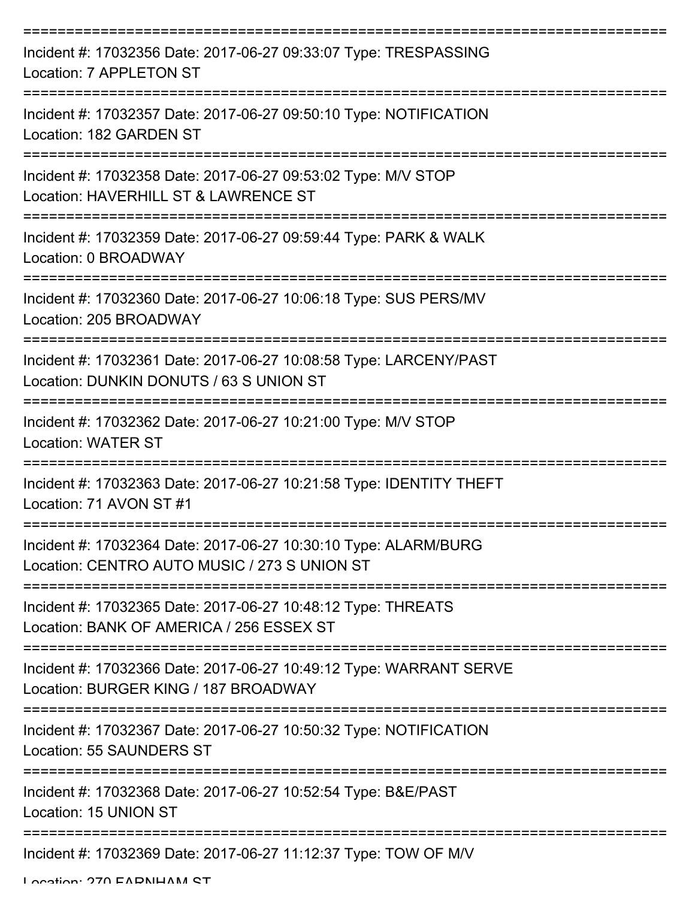| Incident #: 17032356 Date: 2017-06-27 09:33:07 Type: TRESPASSING<br>Location: 7 APPLETON ST                     |
|-----------------------------------------------------------------------------------------------------------------|
| Incident #: 17032357 Date: 2017-06-27 09:50:10 Type: NOTIFICATION<br>Location: 182 GARDEN ST                    |
| Incident #: 17032358 Date: 2017-06-27 09:53:02 Type: M/V STOP<br>Location: HAVERHILL ST & LAWRENCE ST           |
| Incident #: 17032359 Date: 2017-06-27 09:59:44 Type: PARK & WALK<br>Location: 0 BROADWAY                        |
| Incident #: 17032360 Date: 2017-06-27 10:06:18 Type: SUS PERS/MV<br>Location: 205 BROADWAY                      |
| Incident #: 17032361 Date: 2017-06-27 10:08:58 Type: LARCENY/PAST<br>Location: DUNKIN DONUTS / 63 S UNION ST    |
| Incident #: 17032362 Date: 2017-06-27 10:21:00 Type: M/V STOP<br><b>Location: WATER ST</b>                      |
| Incident #: 17032363 Date: 2017-06-27 10:21:58 Type: IDENTITY THEFT<br>Location: 71 AVON ST #1                  |
| Incident #: 17032364 Date: 2017-06-27 10:30:10 Type: ALARM/BURG<br>Location: CENTRO AUTO MUSIC / 273 S UNION ST |
| Incident #: 17032365 Date: 2017-06-27 10:48:12 Type: THREATS<br>Location: BANK OF AMERICA / 256 ESSEX ST        |
| Incident #: 17032366 Date: 2017-06-27 10:49:12 Type: WARRANT SERVE<br>Location: BURGER KING / 187 BROADWAY      |
| Incident #: 17032367 Date: 2017-06-27 10:50:32 Type: NOTIFICATION<br>Location: 55 SAUNDERS ST                   |
| Incident #: 17032368 Date: 2017-06-27 10:52:54 Type: B&E/PAST<br>Location: 15 UNION ST                          |
| Incident #: 17032369 Date: 2017-06-27 11:12:37 Type: TOW OF M/V                                                 |

Location: 270 EADNIHAM CT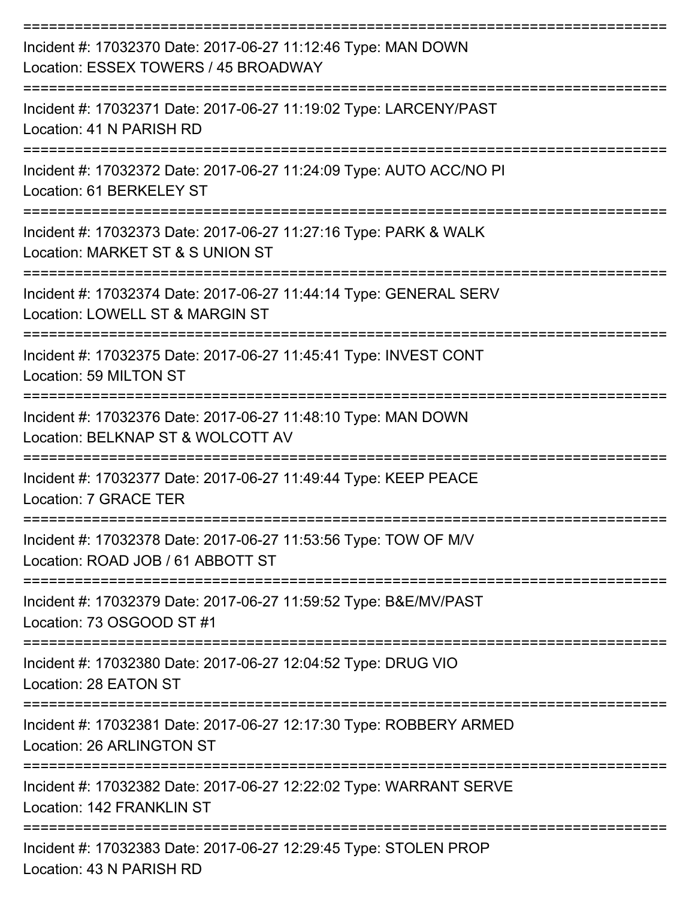| Incident #: 17032370 Date: 2017-06-27 11:12:46 Type: MAN DOWN<br>Location: ESSEX TOWERS / 45 BROADWAY  |
|--------------------------------------------------------------------------------------------------------|
| Incident #: 17032371 Date: 2017-06-27 11:19:02 Type: LARCENY/PAST<br>Location: 41 N PARISH RD          |
| Incident #: 17032372 Date: 2017-06-27 11:24:09 Type: AUTO ACC/NO PI<br>Location: 61 BERKELEY ST        |
| Incident #: 17032373 Date: 2017-06-27 11:27:16 Type: PARK & WALK<br>Location: MARKET ST & S UNION ST   |
| Incident #: 17032374 Date: 2017-06-27 11:44:14 Type: GENERAL SERV<br>Location: LOWELL ST & MARGIN ST   |
| Incident #: 17032375 Date: 2017-06-27 11:45:41 Type: INVEST CONT<br>Location: 59 MILTON ST             |
| Incident #: 17032376 Date: 2017-06-27 11:48:10 Type: MAN DOWN<br>Location: BELKNAP ST & WOLCOTT AV     |
| Incident #: 17032377 Date: 2017-06-27 11:49:44 Type: KEEP PEACE<br>Location: 7 GRACE TER               |
| Incident #: 17032378 Date: 2017-06-27 11:53:56 Type: TOW OF M/V<br>Location: ROAD JOB / 61 ABBOTT ST   |
| Incident #: 17032379 Date: 2017-06-27 11:59:52 Type: B&E/MV/PAST<br>Location: 73 OSGOOD ST #1          |
| Incident #: 17032380 Date: 2017-06-27 12:04:52 Type: DRUG VIO<br>Location: 28 EATON ST                 |
| Incident #: 17032381 Date: 2017-06-27 12:17:30 Type: ROBBERY ARMED<br><b>Location: 26 ARLINGTON ST</b> |
| Incident #: 17032382 Date: 2017-06-27 12:22:02 Type: WARRANT SERVE<br>Location: 142 FRANKLIN ST        |
| Incident #: 17032383 Date: 2017-06-27 12:29:45 Type: STOLEN PROP<br>Location: 43 N PARISH RD           |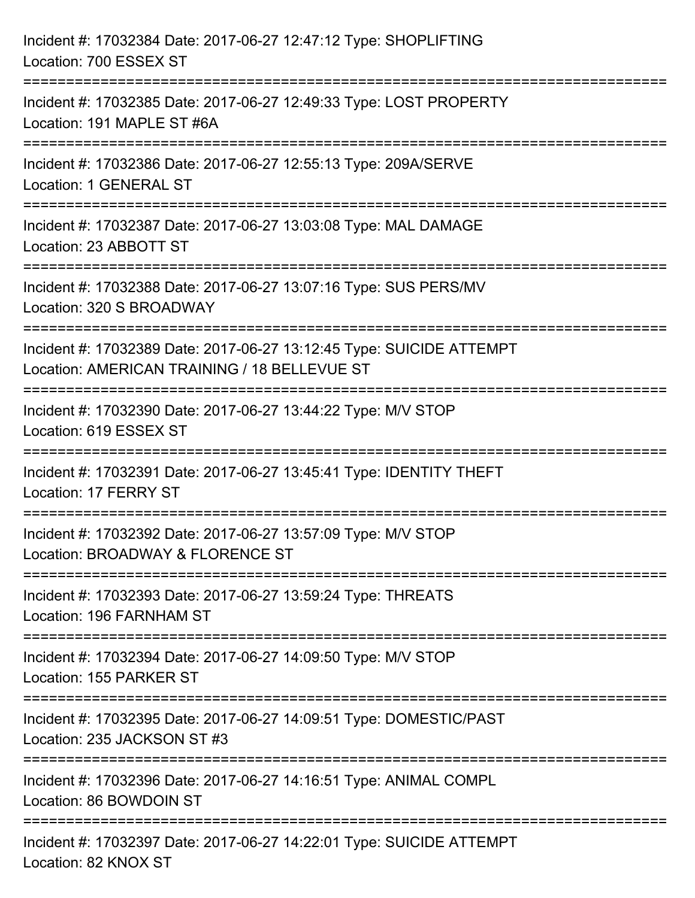| Incident #: 17032384 Date: 2017-06-27 12:47:12 Type: SHOPLIFTING<br>Location: 700 ESSEX ST                                      |
|---------------------------------------------------------------------------------------------------------------------------------|
| Incident #: 17032385 Date: 2017-06-27 12:49:33 Type: LOST PROPERTY<br>Location: 191 MAPLE ST #6A                                |
| Incident #: 17032386 Date: 2017-06-27 12:55:13 Type: 209A/SERVE<br>Location: 1 GENERAL ST                                       |
| Incident #: 17032387 Date: 2017-06-27 13:03:08 Type: MAL DAMAGE<br>Location: 23 ABBOTT ST                                       |
| Incident #: 17032388 Date: 2017-06-27 13:07:16 Type: SUS PERS/MV<br>Location: 320 S BROADWAY                                    |
| Incident #: 17032389 Date: 2017-06-27 13:12:45 Type: SUICIDE ATTEMPT<br>Location: AMERICAN TRAINING / 18 BELLEVUE ST            |
| Incident #: 17032390 Date: 2017-06-27 13:44:22 Type: M/V STOP<br>Location: 619 ESSEX ST                                         |
| Incident #: 17032391 Date: 2017-06-27 13:45:41 Type: IDENTITY THEFT<br>Location: 17 FERRY ST                                    |
| Incident #: 17032392 Date: 2017-06-27 13:57:09 Type: M/V STOP<br>Location: BROADWAY & FLORENCE ST<br>-------------------------- |
| Incident #: 17032393 Date: 2017-06-27 13:59:24 Type: THREATS<br>Location: 196 FARNHAM ST                                        |
| Incident #: 17032394 Date: 2017-06-27 14:09:50 Type: M/V STOP<br>Location: 155 PARKER ST                                        |
| Incident #: 17032395 Date: 2017-06-27 14:09:51 Type: DOMESTIC/PAST<br>Location: 235 JACKSON ST #3                               |
| Incident #: 17032396 Date: 2017-06-27 14:16:51 Type: ANIMAL COMPL<br>Location: 86 BOWDOIN ST                                    |
| Incident #: 17032397 Date: 2017-06-27 14:22:01 Type: SUICIDE ATTEMPT<br>Location: 82 KNOX ST                                    |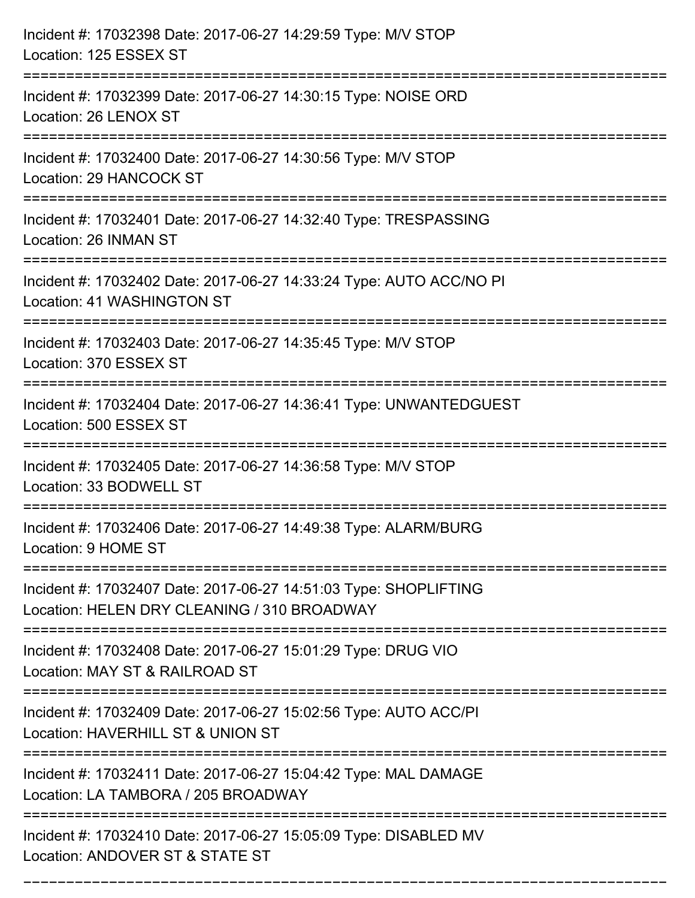| Incident #: 17032398 Date: 2017-06-27 14:29:59 Type: M/V STOP<br>Location: 125 ESSEX ST                                         |
|---------------------------------------------------------------------------------------------------------------------------------|
| ====================================<br>Incident #: 17032399 Date: 2017-06-27 14:30:15 Type: NOISE ORD<br>Location: 26 LENOX ST |
| Incident #: 17032400 Date: 2017-06-27 14:30:56 Type: M/V STOP<br>Location: 29 HANCOCK ST<br>:========================           |
| Incident #: 17032401 Date: 2017-06-27 14:32:40 Type: TRESPASSING<br>Location: 26 INMAN ST                                       |
| Incident #: 17032402 Date: 2017-06-27 14:33:24 Type: AUTO ACC/NO PI<br>Location: 41 WASHINGTON ST                               |
| Incident #: 17032403 Date: 2017-06-27 14:35:45 Type: M/V STOP<br>Location: 370 ESSEX ST                                         |
| Incident #: 17032404 Date: 2017-06-27 14:36:41 Type: UNWANTEDGUEST<br>Location: 500 ESSEX ST                                    |
| Incident #: 17032405 Date: 2017-06-27 14:36:58 Type: M/V STOP<br>Location: 33 BODWELL ST                                        |
| Incident #: 17032406 Date: 2017-06-27 14:49:38 Type: ALARM/BURG<br>Location: 9 HOME ST                                          |
| Incident #: 17032407 Date: 2017-06-27 14:51:03 Type: SHOPLIFTING<br>Location: HELEN DRY CLEANING / 310 BROADWAY                 |
| Incident #: 17032408 Date: 2017-06-27 15:01:29 Type: DRUG VIO<br>Location: MAY ST & RAILROAD ST                                 |
| Incident #: 17032409 Date: 2017-06-27 15:02:56 Type: AUTO ACC/PI<br>Location: HAVERHILL ST & UNION ST                           |
| Incident #: 17032411 Date: 2017-06-27 15:04:42 Type: MAL DAMAGE<br>Location: LA TAMBORA / 205 BROADWAY                          |
| Incident #: 17032410 Date: 2017-06-27 15:05:09 Type: DISABLED MV<br>Location: ANDOVER ST & STATE ST                             |

===========================================================================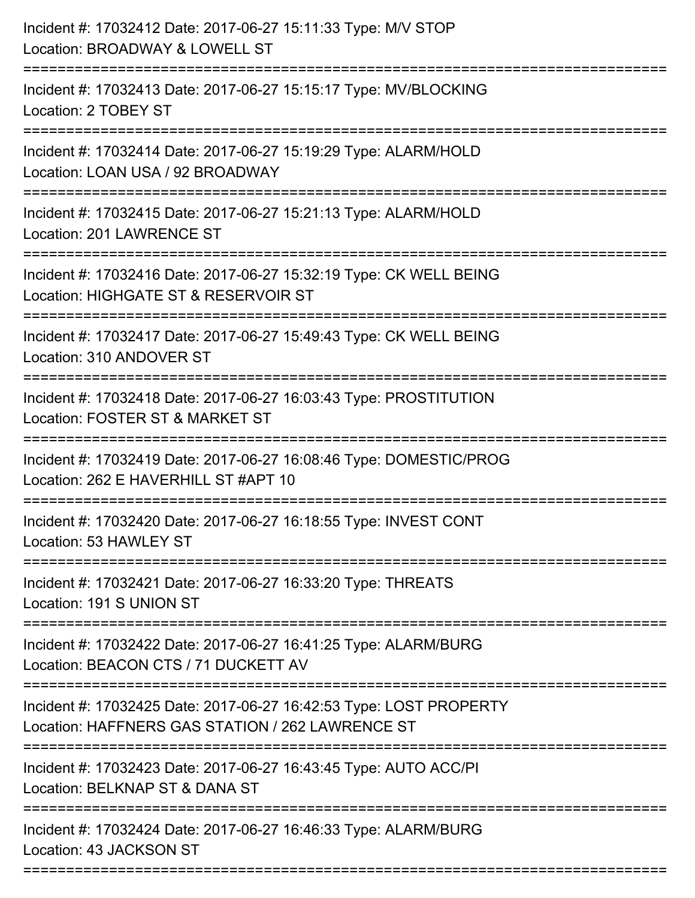| Incident #: 17032412 Date: 2017-06-27 15:11:33 Type: M/V STOP<br>Location: BROADWAY & LOWELL ST                                      |
|--------------------------------------------------------------------------------------------------------------------------------------|
| =================<br>Incident #: 17032413 Date: 2017-06-27 15:15:17 Type: MV/BLOCKING<br>Location: 2 TOBEY ST                        |
| Incident #: 17032414 Date: 2017-06-27 15:19:29 Type: ALARM/HOLD<br>Location: LOAN USA / 92 BROADWAY<br>========================      |
| Incident #: 17032415 Date: 2017-06-27 15:21:13 Type: ALARM/HOLD<br>Location: 201 LAWRENCE ST                                         |
| Incident #: 17032416 Date: 2017-06-27 15:32:19 Type: CK WELL BEING<br>Location: HIGHGATE ST & RESERVOIR ST<br>====================== |
| Incident #: 17032417 Date: 2017-06-27 15:49:43 Type: CK WELL BEING<br>Location: 310 ANDOVER ST                                       |
| Incident #: 17032418 Date: 2017-06-27 16:03:43 Type: PROSTITUTION<br>Location: FOSTER ST & MARKET ST                                 |
| Incident #: 17032419 Date: 2017-06-27 16:08:46 Type: DOMESTIC/PROG<br>Location: 262 E HAVERHILL ST #APT 10                           |
| Incident #: 17032420 Date: 2017-06-27 16:18:55 Type: INVEST CONT<br>Location: 53 HAWLEY ST                                           |
| Incident #: 17032421 Date: 2017-06-27 16:33:20 Type: THREATS<br>Location: 191 S UNION ST                                             |
| Incident #: 17032422 Date: 2017-06-27 16:41:25 Type: ALARM/BURG<br>Location: BEACON CTS / 71 DUCKETT AV                              |
| Incident #: 17032425 Date: 2017-06-27 16:42:53 Type: LOST PROPERTY<br>Location: HAFFNERS GAS STATION / 262 LAWRENCE ST               |
| Incident #: 17032423 Date: 2017-06-27 16:43:45 Type: AUTO ACC/PI<br>Location: BELKNAP ST & DANA ST                                   |
| Incident #: 17032424 Date: 2017-06-27 16:46:33 Type: ALARM/BURG<br>Location: 43 JACKSON ST                                           |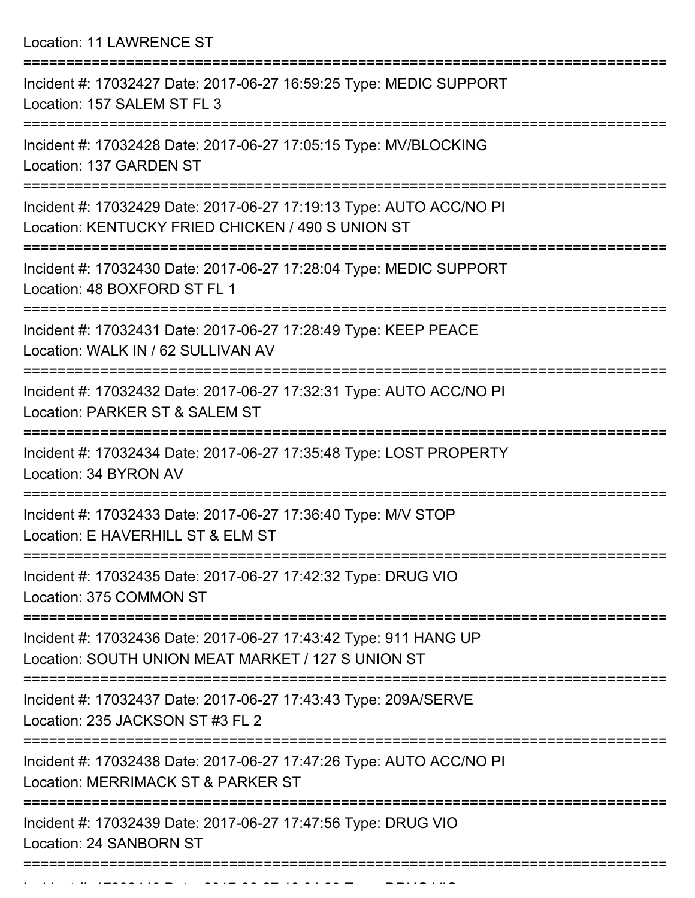Location: 11 LAWRENCE ST

| Incident #: 17032427 Date: 2017-06-27 16:59:25 Type: MEDIC SUPPORT<br>Location: 157 SALEM ST FL 3                                         |
|-------------------------------------------------------------------------------------------------------------------------------------------|
| Incident #: 17032428 Date: 2017-06-27 17:05:15 Type: MV/BLOCKING<br>Location: 137 GARDEN ST                                               |
| Incident #: 17032429 Date: 2017-06-27 17:19:13 Type: AUTO ACC/NO PI<br>Location: KENTUCKY FRIED CHICKEN / 490 S UNION ST                  |
| Incident #: 17032430 Date: 2017-06-27 17:28:04 Type: MEDIC SUPPORT<br>Location: 48 BOXFORD ST FL 1                                        |
| Incident #: 17032431 Date: 2017-06-27 17:28:49 Type: KEEP PEACE<br>Location: WALK IN / 62 SULLIVAN AV                                     |
| Incident #: 17032432 Date: 2017-06-27 17:32:31 Type: AUTO ACC/NO PI<br>Location: PARKER ST & SALEM ST                                     |
| Incident #: 17032434 Date: 2017-06-27 17:35:48 Type: LOST PROPERTY<br>Location: 34 BYRON AV                                               |
| Incident #: 17032433 Date: 2017-06-27 17:36:40 Type: M/V STOP<br>Location: E HAVERHILL ST & ELM ST                                        |
| Incident #: 17032435 Date: 2017-06-27 17:42:32 Type: DRUG VIO<br>Location: 375 COMMON ST                                                  |
| ===============<br>Incident #: 17032436 Date: 2017-06-27 17:43:42 Type: 911 HANG UP<br>Location: SOUTH UNION MEAT MARKET / 127 S UNION ST |
| Incident #: 17032437 Date: 2017-06-27 17:43:43 Type: 209A/SERVE<br>Location: 235 JACKSON ST #3 FL 2                                       |
| Incident #: 17032438 Date: 2017-06-27 17:47:26 Type: AUTO ACC/NO PI<br>Location: MERRIMACK ST & PARKER ST                                 |
| Incident #: 17032439 Date: 2017-06-27 17:47:56 Type: DRUG VIO<br><b>Location: 24 SANBORN ST</b>                                           |
|                                                                                                                                           |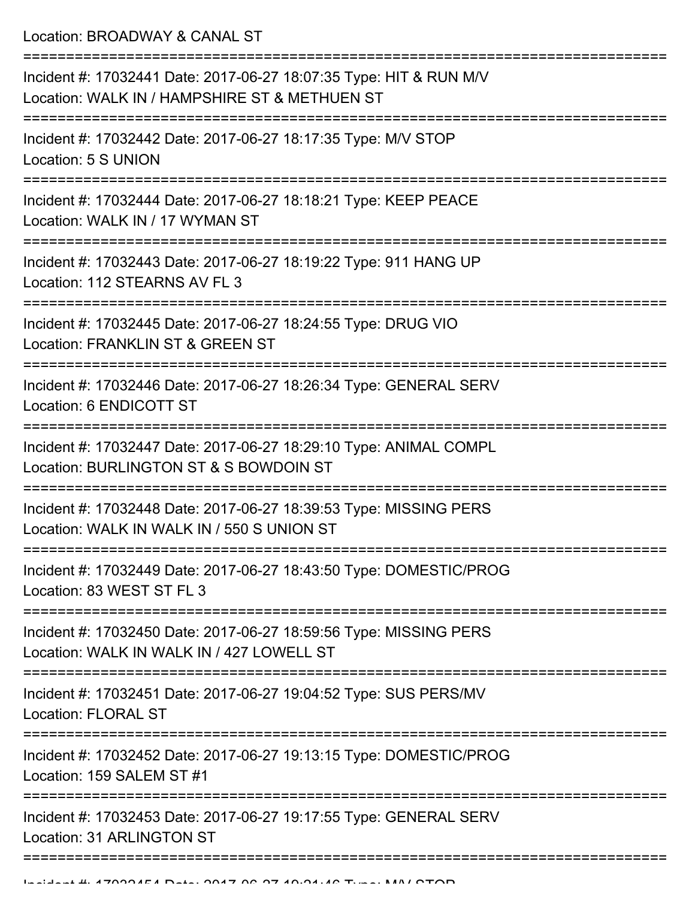Location: BROADWAY & CANAL ST

| Incident #: 17032441 Date: 2017-06-27 18:07:35 Type: HIT & RUN M/V<br>Location: WALK IN / HAMPSHIRE ST & METHUEN ST<br>====================== |
|-----------------------------------------------------------------------------------------------------------------------------------------------|
| Incident #: 17032442 Date: 2017-06-27 18:17:35 Type: M/V STOP<br>Location: 5 S UNION                                                          |
| Incident #: 17032444 Date: 2017-06-27 18:18:21 Type: KEEP PEACE<br>Location: WALK IN / 17 WYMAN ST                                            |
| Incident #: 17032443 Date: 2017-06-27 18:19:22 Type: 911 HANG UP<br>Location: 112 STEARNS AV FL 3                                             |
| Incident #: 17032445 Date: 2017-06-27 18:24:55 Type: DRUG VIO<br>Location: FRANKLIN ST & GREEN ST                                             |
| Incident #: 17032446 Date: 2017-06-27 18:26:34 Type: GENERAL SERV<br>Location: 6 ENDICOTT ST                                                  |
| Incident #: 17032447 Date: 2017-06-27 18:29:10 Type: ANIMAL COMPL<br>Location: BURLINGTON ST & S BOWDOIN ST                                   |
| Incident #: 17032448 Date: 2017-06-27 18:39:53 Type: MISSING PERS<br>Location: WALK IN WALK IN / 550 S UNION ST                               |
| Incident #: 17032449 Date: 2017-06-27 18:43:50 Type: DOMESTIC/PROG<br>Location: 83 WEST ST FL 3                                               |
| Incident #: 17032450 Date: 2017-06-27 18:59:56 Type: MISSING PERS<br>Location: WALK IN WALK IN / 427 LOWELL ST                                |
| Incident #: 17032451 Date: 2017-06-27 19:04:52 Type: SUS PERS/MV<br><b>Location: FLORAL ST</b>                                                |
| Incident #: 17032452 Date: 2017-06-27 19:13:15 Type: DOMESTIC/PROG<br>Location: 159 SALEM ST #1                                               |
| Incident #: 17032453 Date: 2017-06-27 19:17:55 Type: GENERAL SERV<br><b>Location: 31 ARLINGTON ST</b>                                         |
|                                                                                                                                               |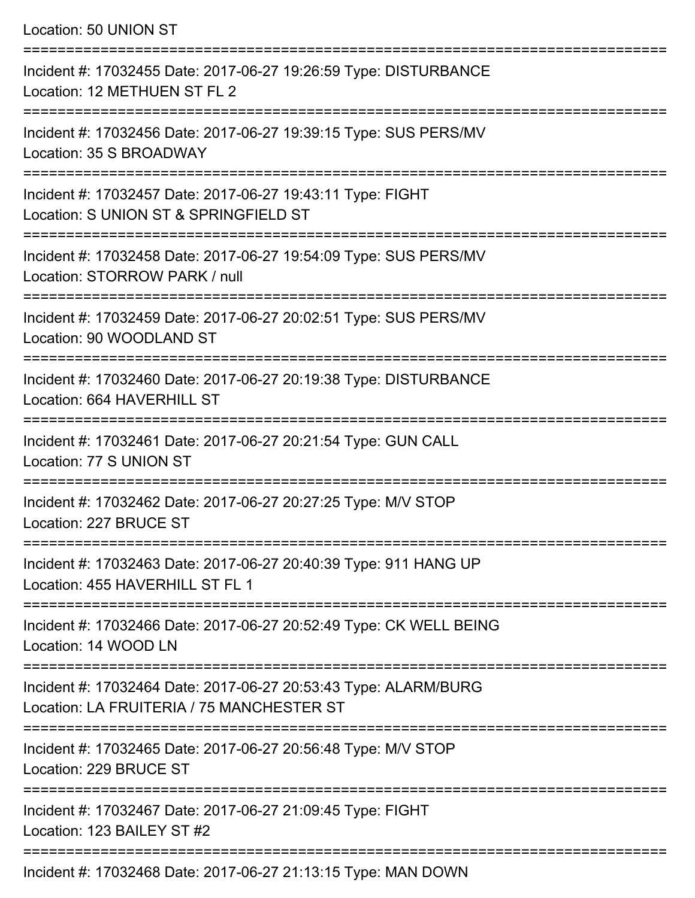Location: 50 UNION ST =========================================================================== Incident #: 17032455 Date: 2017-06-27 19:26:59 Type: DISTURBANCE Location: 12 METHUEN ST FL 2 =========================================================================== Incident #: 17032456 Date: 2017-06-27 19:39:15 Type: SUS PERS/MV Location: 35 S BROADWAY =========================================================================== Incident #: 17032457 Date: 2017-06-27 19:43:11 Type: FIGHT Location: S UNION ST & SPRINGFIELD ST =========================================================================== Incident #: 17032458 Date: 2017-06-27 19:54:09 Type: SUS PERS/MV Location: STORROW PARK / null =========================================================================== Incident #: 17032459 Date: 2017-06-27 20:02:51 Type: SUS PERS/MV Location: 90 WOODLAND ST =========================================================================== Incident #: 17032460 Date: 2017-06-27 20:19:38 Type: DISTURBANCE Location: 664 HAVERHILL ST =========================================================================== Incident #: 17032461 Date: 2017-06-27 20:21:54 Type: GUN CALL Location: 77 S UNION ST =========================================================================== Incident #: 17032462 Date: 2017-06-27 20:27:25 Type: M/V STOP Location: 227 BRUCE ST =========================================================================== Incident #: 17032463 Date: 2017-06-27 20:40:39 Type: 911 HANG UP Location: 455 HAVERHILL ST FL 1 =========================================================================== Incident #: 17032466 Date: 2017-06-27 20:52:49 Type: CK WELL BEING Location: 14 WOOD LN =========================================================================== Incident #: 17032464 Date: 2017-06-27 20:53:43 Type: ALARM/BURG Location: LA FRUITERIA / 75 MANCHESTER ST =========================================================================== Incident #: 17032465 Date: 2017-06-27 20:56:48 Type: M/V STOP Location: 229 BRUCE ST =========================================================================== Incident #: 17032467 Date: 2017-06-27 21:09:45 Type: FIGHT

Location: 123 BAILEY ST #2

===========================================================================

Incident #: 17032468 Date: 2017-06-27 21:13:15 Type: MAN DOWN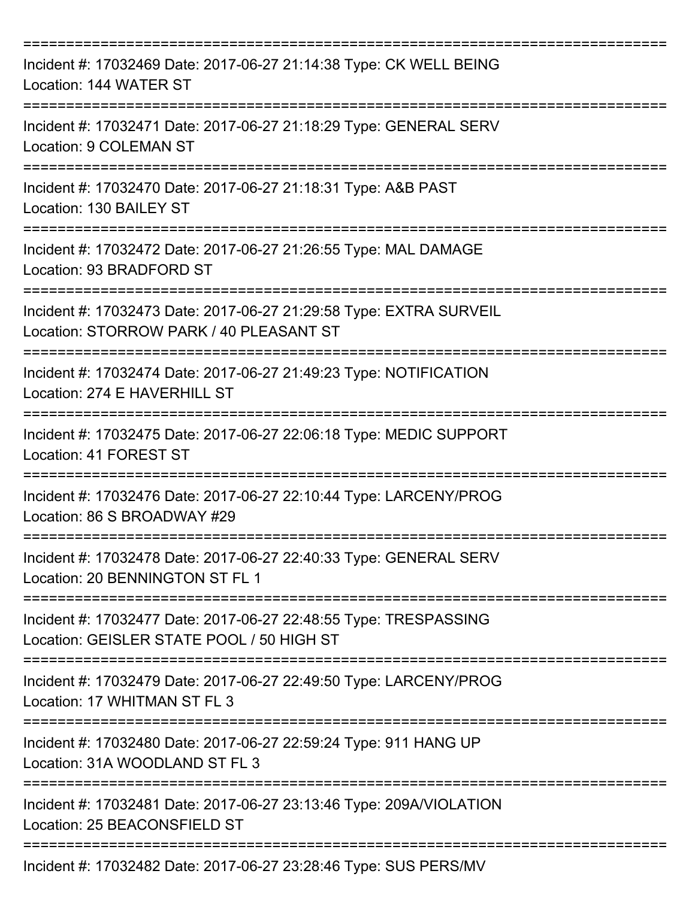| Incident #: 17032469 Date: 2017-06-27 21:14:38 Type: CK WELL BEING<br>Location: 144 WATER ST                        |
|---------------------------------------------------------------------------------------------------------------------|
| Incident #: 17032471 Date: 2017-06-27 21:18:29 Type: GENERAL SERV<br>Location: 9 COLEMAN ST                         |
| Incident #: 17032470 Date: 2017-06-27 21:18:31 Type: A&B PAST<br>Location: 130 BAILEY ST                            |
| Incident #: 17032472 Date: 2017-06-27 21:26:55 Type: MAL DAMAGE<br>Location: 93 BRADFORD ST                         |
| Incident #: 17032473 Date: 2017-06-27 21:29:58 Type: EXTRA SURVEIL<br>Location: STORROW PARK / 40 PLEASANT ST       |
| Incident #: 17032474 Date: 2017-06-27 21:49:23 Type: NOTIFICATION<br>Location: 274 E HAVERHILL ST<br>-------------- |
| Incident #: 17032475 Date: 2017-06-27 22:06:18 Type: MEDIC SUPPORT<br>Location: 41 FOREST ST                        |
| Incident #: 17032476 Date: 2017-06-27 22:10:44 Type: LARCENY/PROG<br>Location: 86 S BROADWAY #29                    |
| Incident #: 17032478 Date: 2017-06-27 22:40:33 Type: GENERAL SERV<br>Location: 20 BENNINGTON ST FL 1                |
| Incident #: 17032477 Date: 2017-06-27 22:48:55 Type: TRESPASSING<br>Location: GEISLER STATE POOL / 50 HIGH ST       |
| Incident #: 17032479 Date: 2017-06-27 22:49:50 Type: LARCENY/PROG<br>Location: 17 WHITMAN ST FL 3                   |
| Incident #: 17032480 Date: 2017-06-27 22:59:24 Type: 911 HANG UP<br>Location: 31A WOODLAND ST FL 3                  |
| Incident #: 17032481 Date: 2017-06-27 23:13:46 Type: 209A/VIOLATION<br>Location: 25 BEACONSFIELD ST                 |
| Incident #: 17032482 Date: 2017-06-27 23:28:46 Type: SUS PERS/MV                                                    |